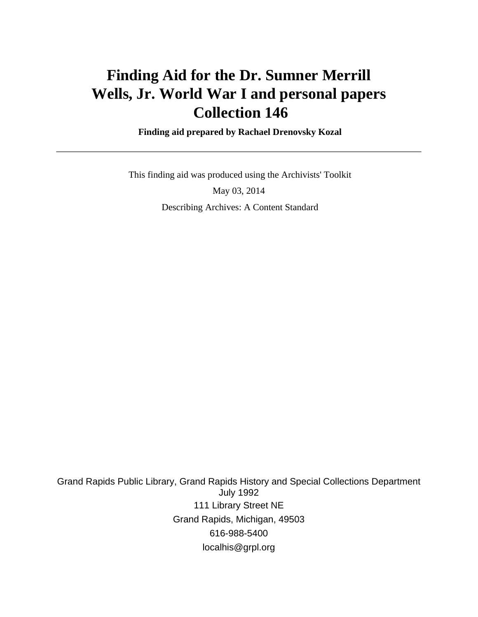# **Finding Aid for the Dr. Sumner Merrill Wells, Jr. World War I and personal papers Collection 146**

 **Finding aid prepared by Rachael Drenovsky Kozal**

 This finding aid was produced using the Archivists' Toolkit May 03, 2014 Describing Archives: A Content Standard

Grand Rapids Public Library, Grand Rapids History and Special Collections Department July 1992 111 Library Street NE Grand Rapids, Michigan, 49503 616-988-5400 localhis@grpl.org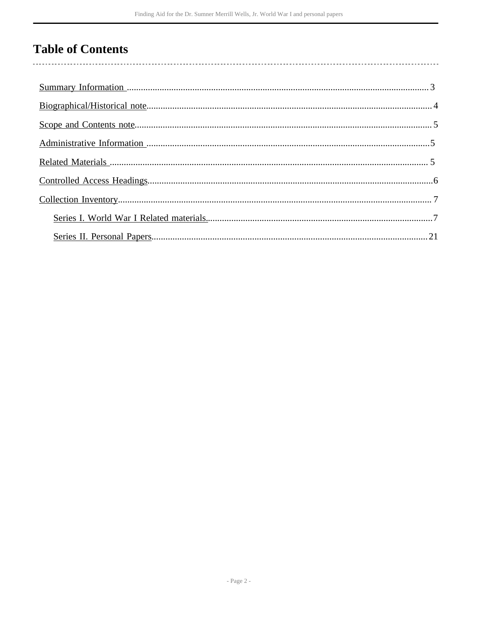# **Table of Contents**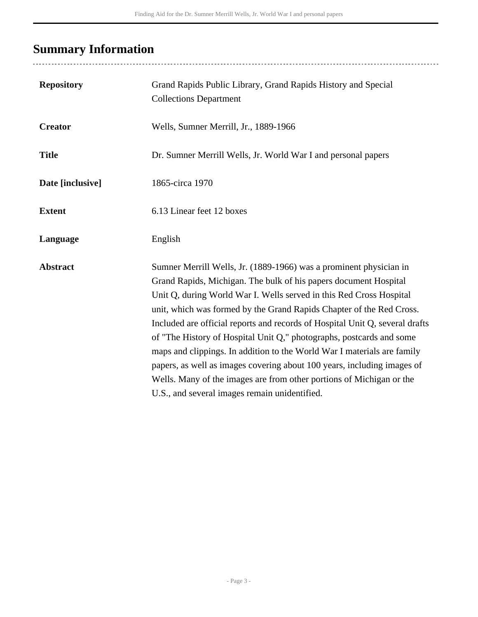# <span id="page-2-0"></span>**Summary Information**

| <b>Repository</b> | Grand Rapids Public Library, Grand Rapids History and Special<br><b>Collections Department</b>                                                                                                                                                                                                                                                                                                                                                                                                                                                                                                                                                                                                                               |
|-------------------|------------------------------------------------------------------------------------------------------------------------------------------------------------------------------------------------------------------------------------------------------------------------------------------------------------------------------------------------------------------------------------------------------------------------------------------------------------------------------------------------------------------------------------------------------------------------------------------------------------------------------------------------------------------------------------------------------------------------------|
| <b>Creator</b>    | Wells, Sumner Merrill, Jr., 1889-1966                                                                                                                                                                                                                                                                                                                                                                                                                                                                                                                                                                                                                                                                                        |
| <b>Title</b>      | Dr. Sumner Merrill Wells, Jr. World War I and personal papers                                                                                                                                                                                                                                                                                                                                                                                                                                                                                                                                                                                                                                                                |
| Date [inclusive]  | 1865-circa 1970                                                                                                                                                                                                                                                                                                                                                                                                                                                                                                                                                                                                                                                                                                              |
| <b>Extent</b>     | 6.13 Linear feet 12 boxes                                                                                                                                                                                                                                                                                                                                                                                                                                                                                                                                                                                                                                                                                                    |
| Language          | English                                                                                                                                                                                                                                                                                                                                                                                                                                                                                                                                                                                                                                                                                                                      |
| <b>Abstract</b>   | Sumner Merrill Wells, Jr. (1889-1966) was a prominent physician in<br>Grand Rapids, Michigan. The bulk of his papers document Hospital<br>Unit Q, during World War I. Wells served in this Red Cross Hospital<br>unit, which was formed by the Grand Rapids Chapter of the Red Cross.<br>Included are official reports and records of Hospital Unit Q, several drafts<br>of "The History of Hospital Unit Q," photographs, postcards and some<br>maps and clippings. In addition to the World War I materials are family<br>papers, as well as images covering about 100 years, including images of<br>Wells. Many of the images are from other portions of Michigan or the<br>U.S., and several images remain unidentified. |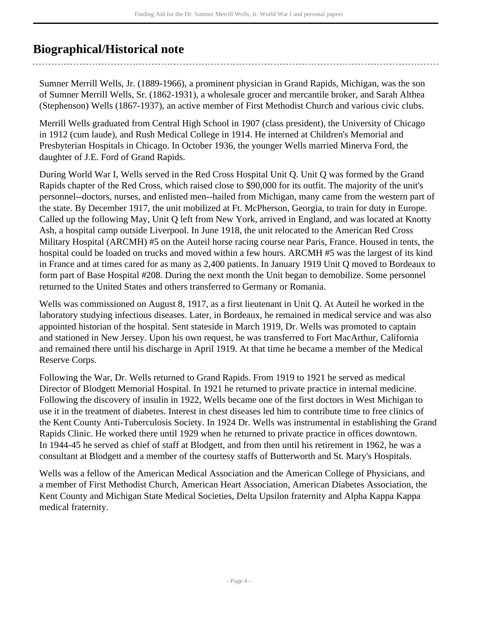# <span id="page-3-0"></span>**Biographical/Historical note**

Sumner Merrill Wells, Jr. (1889-1966), a prominent physician in Grand Rapids, Michigan, was the son of Sumner Merrill Wells, Sr. (1862-1931), a wholesale grocer and mercantile broker, and Sarah Althea (Stephenson) Wells (1867-1937), an active member of First Methodist Church and various civic clubs.

Merrill Wells graduated from Central High School in 1907 (class president), the University of Chicago in 1912 (cum laude), and Rush Medical College in 1914. He interned at Children's Memorial and Presbyterian Hospitals in Chicago. In October 1936, the younger Wells married Minerva Ford, the daughter of J.E. Ford of Grand Rapids.

During World War I, Wells served in the Red Cross Hospital Unit Q. Unit Q was formed by the Grand Rapids chapter of the Red Cross, which raised close to \$90,000 for its outfit. The majority of the unit's personnel--doctors, nurses, and enlisted men--hailed from Michigan, many came from the western part of the state. By December 1917, the unit mobilized at Ft. McPherson, Georgia, to train for duty in Europe. Called up the following May, Unit Q left from New York, arrived in England, and was located at Knotty Ash, a hospital camp outside Liverpool. In June 1918, the unit relocated to the American Red Cross Military Hospital (ARCMH) #5 on the Auteil horse racing course near Paris, France. Housed in tents, the hospital could be loaded on trucks and moved within a few hours. ARCMH #5 was the largest of its kind in France and at times cared for as many as 2,400 patients. In January 1919 Unit Q moved to Bordeaux to form part of Base Hospital #208. During the next month the Unit began to demobilize. Some personnel returned to the United States and others transferred to Germany or Romania.

Wells was commissioned on August 8, 1917, as a first lieutenant in Unit Q. At Auteil he worked in the laboratory studying infectious diseases. Later, in Bordeaux, he remained in medical service and was also appointed historian of the hospital. Sent stateside in March 1919, Dr. Wells was promoted to captain and stationed in New Jersey. Upon his own request, he was transferred to Fort MacArthur, California and remained there until his discharge in April 1919. At that time he became a member of the Medical Reserve Corps.

Following the War, Dr. Wells returned to Grand Rapids. From 1919 to 1921 he served as medical Director of Blodgett Memorial Hospital. In 1921 he returned to private practice in internal medicine. Following the discovery of insulin in 1922, Wells became one of the first doctors in West Michigan to use it in the treatment of diabetes. Interest in chest diseases led him to contribute time to free clinics of the Kent County Anti-Tuberculosis Society. In 1924 Dr. Wells was instrumental in establishing the Grand Rapids Clinic. He worked there until 1929 when he returned to private practice in offices downtown. In 1944-45 he served as chief of staff at Blodgett, and from then until his retirement in 1962, he was a consultant at Blodgett and a member of the courtesy staffs of Butterworth and St. Mary's Hospitals.

Wells was a fellow of the American Medical Association and the American College of Physicians, and a member of First Methodist Church, American Heart Association, American Diabetes Association, the Kent County and Michigan State Medical Societies, Delta Upsilon fraternity and Alpha Kappa Kappa medical fraternity.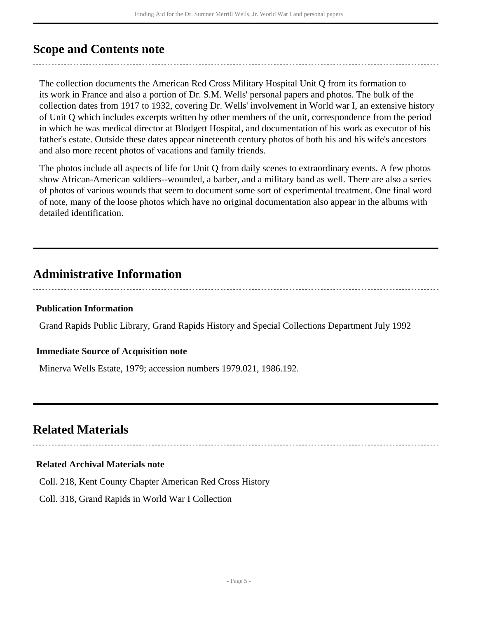## <span id="page-4-0"></span>**Scope and Contents note**

The collection documents the American Red Cross Military Hospital Unit Q from its formation to its work in France and also a portion of Dr. S.M. Wells' personal papers and photos. The bulk of the collection dates from 1917 to 1932, covering Dr. Wells' involvement in World war I, an extensive history of Unit Q which includes excerpts written by other members of the unit, correspondence from the period in which he was medical director at Blodgett Hospital, and documentation of his work as executor of his father's estate. Outside these dates appear nineteenth century photos of both his and his wife's ancestors and also more recent photos of vacations and family friends.

The photos include all aspects of life for Unit Q from daily scenes to extraordinary events. A few photos show African-American soldiers--wounded, a barber, and a military band as well. There are also a series of photos of various wounds that seem to document some sort of experimental treatment. One final word of note, many of the loose photos which have no original documentation also appear in the albums with detailed identification.

### <span id="page-4-1"></span>**Administrative Information**

#### **Publication Information**

Grand Rapids Public Library, Grand Rapids History and Special Collections Department July 1992

#### **Immediate Source of Acquisition note**

Minerva Wells Estate, 1979; accession numbers 1979.021, 1986.192.

## <span id="page-4-2"></span>**Related Materials**

#### **Related Archival Materials note**

Coll. 218, Kent County Chapter American Red Cross History

Coll. 318, Grand Rapids in World War I Collection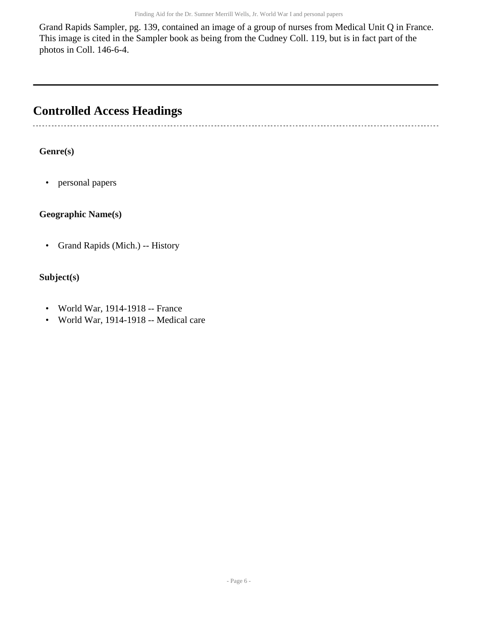Grand Rapids Sampler, pg. 139, contained an image of a group of nurses from Medical Unit Q in France. This image is cited in the Sampler book as being from the Cudney Coll. 119, but is in fact part of the photos in Coll. 146-6-4.

## <span id="page-5-0"></span>**Controlled Access Headings**

-----------------------------------

### **Genre(s)**

• personal papers

#### **Geographic Name(s)**

• Grand Rapids (Mich.) -- History

#### **Subject(s)**

- World War, 1914-1918 -- France
- World War, 1914-1918 -- Medical care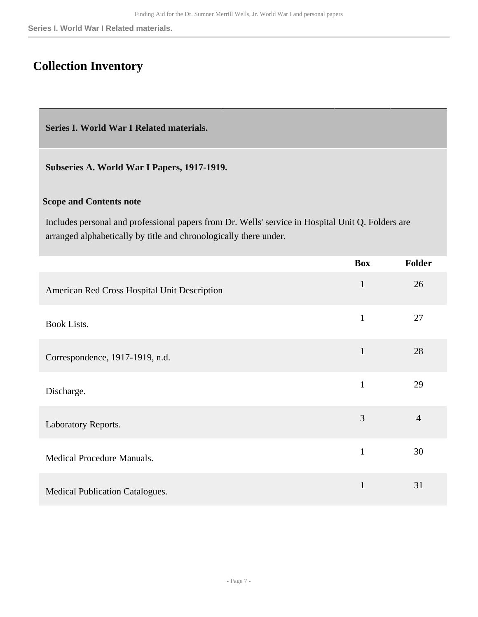**Series I. World War I Related materials.**

# <span id="page-6-0"></span>**Collection Inventory**

<span id="page-6-1"></span>**Series I. World War I Related materials.** 

**Subseries A. World War I Papers, 1917-1919.** 

#### **Scope and Contents note**

Includes personal and professional papers from Dr. Wells' service in Hospital Unit Q. Folders are arranged alphabetically by title and chronologically there under.

|                                              | <b>Box</b>   | Folder         |
|----------------------------------------------|--------------|----------------|
| American Red Cross Hospital Unit Description | $\mathbf{1}$ | 26             |
| <b>Book Lists.</b>                           | $\mathbf{1}$ | 27             |
| Correspondence, 1917-1919, n.d.              | $\mathbf{1}$ | 28             |
| Discharge.                                   | $\mathbf{1}$ | 29             |
| Laboratory Reports.                          | 3            | $\overline{4}$ |
| Medical Procedure Manuals.                   | $\mathbf{1}$ | 30             |
| <b>Medical Publication Catalogues.</b>       | $\mathbf{1}$ | 31             |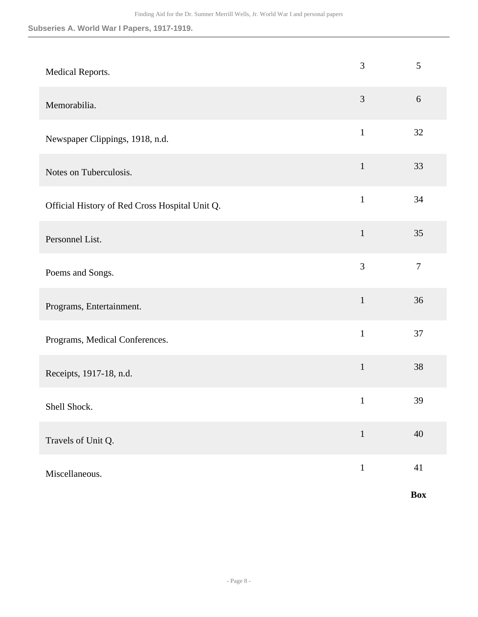#### **Subseries A. World War I Papers, 1917-1919.**

| Medical Reports.                               | 3            | 5              |
|------------------------------------------------|--------------|----------------|
| Memorabilia.                                   | 3            | 6              |
| Newspaper Clippings, 1918, n.d.                | $\mathbf{1}$ | 32             |
| Notes on Tuberculosis.                         | $\mathbf 1$  | 33             |
| Official History of Red Cross Hospital Unit Q. | $\mathbf{1}$ | 34             |
| Personnel List.                                | $\mathbf{1}$ | 35             |
| Poems and Songs.                               | 3            | $\overline{7}$ |
| Programs, Entertainment.                       | $\mathbf{1}$ | 36             |
| Programs, Medical Conferences.                 | $\mathbf{1}$ | 37             |
| Receipts, 1917-18, n.d.                        | $\mathbf 1$  | 38             |
| Shell Shock.                                   | $\mathbf{1}$ | 39             |
| Travels of Unit Q.                             | $\mathbf{1}$ | $40\,$         |
| Miscellaneous.                                 | $1\,$        | $41\,$         |
|                                                |              | Box            |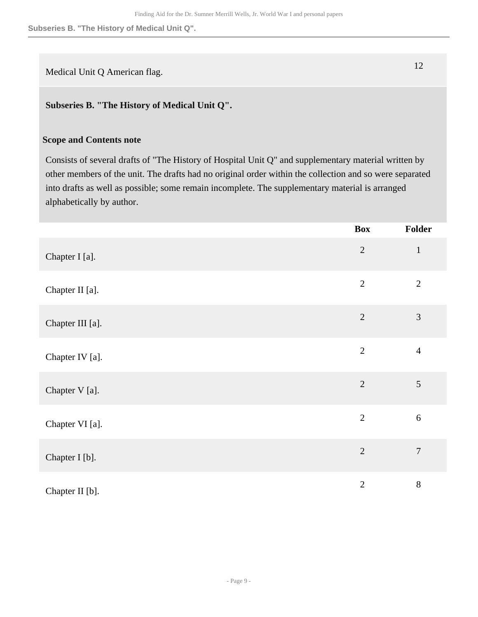**Subseries B. "The History of Medical Unit Q".**

Medical Unit Q American flag. 12

#### **Subseries B. "The History of Medical Unit Q".**

#### **Scope and Contents note**

Consists of several drafts of "The History of Hospital Unit Q" and supplementary material written by other members of the unit. The drafts had no original order within the collection and so were separated into drafts as well as possible; some remain incomplete. The supplementary material is arranged alphabetically by author.

|                  | <b>Box</b>     | Folder         |
|------------------|----------------|----------------|
| Chapter I [a].   | $\mathbf{2}$   | $\mathbf{1}$   |
| Chapter II [a].  | $\overline{2}$ | $\overline{2}$ |
| Chapter III [a]. | $\overline{2}$ | $\mathfrak{Z}$ |
| Chapter IV [a].  | $\overline{2}$ | $\overline{4}$ |
| Chapter V [a].   | $\overline{2}$ | $\sqrt{5}$     |
| Chapter VI [a].  | $\overline{2}$ | $6\,$          |
| Chapter I [b].   | $\overline{2}$ | $\overline{7}$ |
| Chapter II [b].  | $\mathbf{2}$   | 8              |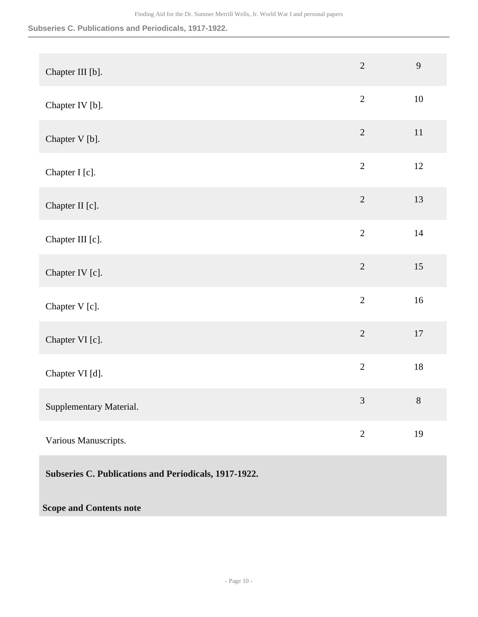**Subseries C. Publications and Periodicals, 1917-1922.**

| Chapter III [b].                                      | $\overline{2}$ | 9      |
|-------------------------------------------------------|----------------|--------|
| Chapter IV [b].                                       | $\sqrt{2}$     | $10\,$ |
| Chapter V [b].                                        | $\overline{2}$ | 11     |
| Chapter I [c].                                        | $\overline{2}$ | $12\,$ |
| Chapter II [c].                                       | $\overline{2}$ | 13     |
| Chapter III [c].                                      | $\overline{2}$ | 14     |
| Chapter IV [c].                                       | $\overline{2}$ | 15     |
| Chapter V [c].                                        | $\overline{2}$ | 16     |
| Chapter VI [c].                                       | $\overline{2}$ | $17\,$ |
| Chapter VI [d].                                       | $\overline{2}$ | $18\,$ |
| Supplementary Material.                               | $\mathfrak{Z}$ | $8\,$  |
| Various Manuscripts.                                  | $\overline{2}$ | 19     |
| Subseries C. Publications and Periodicals, 1917-1922. |                |        |
| <b>Scope and Contents note</b>                        |                |        |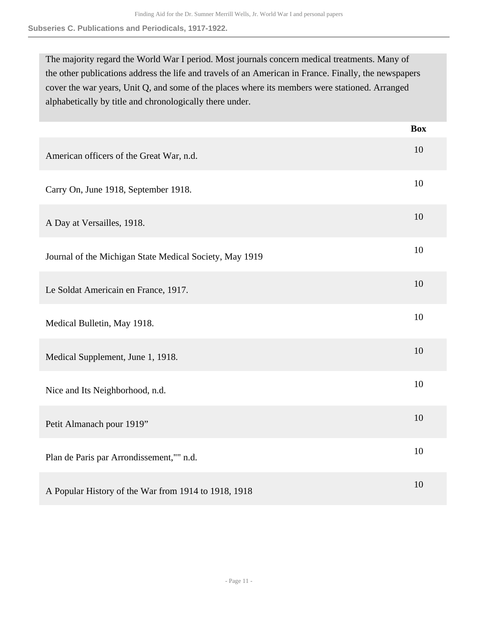**Subseries C. Publications and Periodicals, 1917-1922.**

The majority regard the World War I period. Most journals concern medical treatments. Many of the other publications address the life and travels of an American in France. Finally, the newspapers cover the war years, Unit Q, and some of the places where its members were stationed. Arranged alphabetically by title and chronologically there under.

|                                                         | <b>Box</b> |
|---------------------------------------------------------|------------|
| American officers of the Great War, n.d.                | 10         |
| Carry On, June 1918, September 1918.                    | 10         |
| A Day at Versailles, 1918.                              | 10         |
| Journal of the Michigan State Medical Society, May 1919 | 10         |
| Le Soldat Americain en France, 1917.                    | 10         |
| Medical Bulletin, May 1918.                             | 10         |
| Medical Supplement, June 1, 1918.                       | 10         |
| Nice and Its Neighborhood, n.d.                         | 10         |
| Petit Almanach pour 1919"                               | 10         |
| Plan de Paris par Arrondissement,"" n.d.                | 10         |
| A Popular History of the War from 1914 to 1918, 1918    | 10         |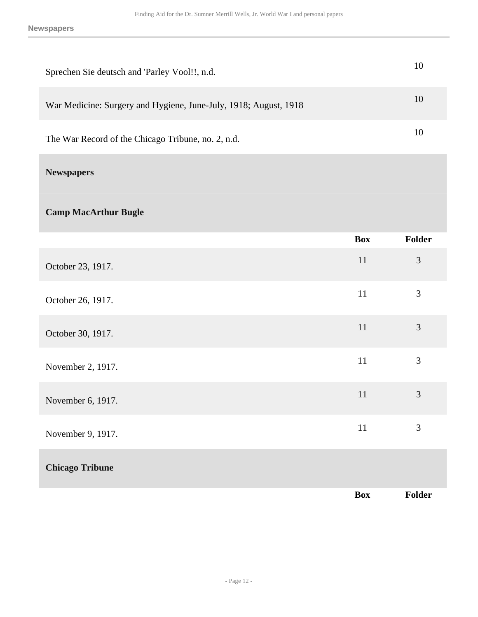| Sprechen Sie deutsch and 'Parley Vool!!, n.d.                    |            | 10             |
|------------------------------------------------------------------|------------|----------------|
| War Medicine: Surgery and Hygiene, June-July, 1918; August, 1918 |            | 10             |
| The War Record of the Chicago Tribune, no. 2, n.d.               |            | 10             |
| <b>Newspapers</b>                                                |            |                |
| <b>Camp MacArthur Bugle</b>                                      |            |                |
|                                                                  | <b>Box</b> | Folder         |
| October 23, 1917.                                                | 11         | $\mathfrak{Z}$ |
| October 26, 1917.                                                | 11         | 3              |
| October 30, 1917.                                                | 11         | 3              |
| November 2, 1917.                                                | 11         | $\mathfrak{Z}$ |
| November 6, 1917.                                                | 11         | 3              |
| November 9, 1917.                                                | 11         | $\mathfrak{Z}$ |
| <b>Chicago Tribune</b>                                           |            |                |
|                                                                  | <b>Box</b> | Folder         |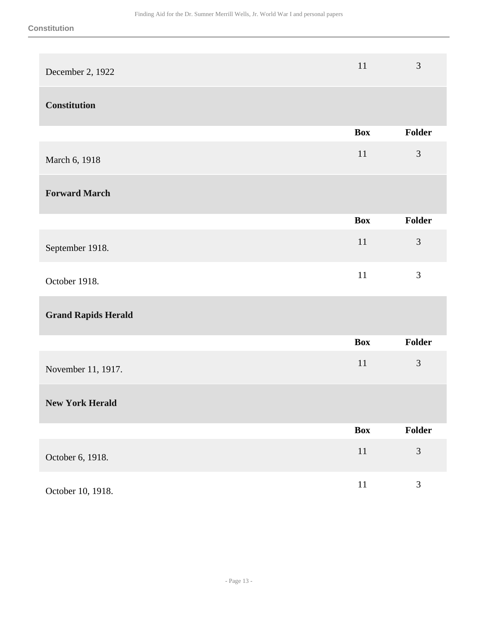| December 2, 1922           | 11         | $\mathfrak{Z}$ |
|----------------------------|------------|----------------|
| <b>Constitution</b>        |            |                |
|                            | <b>Box</b> | Folder         |
| March 6, 1918              | 11         | 3              |
| <b>Forward March</b>       |            |                |
|                            | <b>Box</b> | <b>Folder</b>  |
| September 1918.            | 11         | 3              |
| October 1918.              | 11         | 3              |
| <b>Grand Rapids Herald</b> |            |                |
|                            | <b>Box</b> | Folder         |
| November 11, 1917.         | 11         | 3              |
| <b>New York Herald</b>     |            |                |
|                            | <b>Box</b> | Folder         |
| October 6, 1918.           | $11\,$     | $\mathfrak{Z}$ |
| October 10, 1918.          | $11\,$     | $\mathfrak{Z}$ |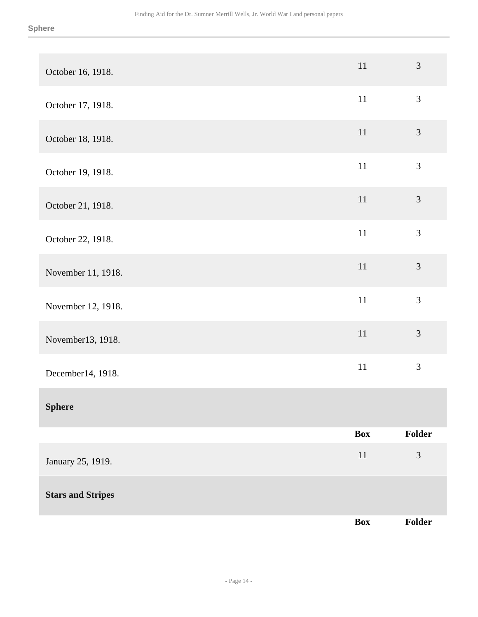| October 16, 1918.        | $11\,$     | $\mathfrak{Z}$ |
|--------------------------|------------|----------------|
| October 17, 1918.        | $11\,$     | $\mathfrak{Z}$ |
| October 18, 1918.        | $11\,$     | $\mathfrak{Z}$ |
| October 19, 1918.        | $11\,$     | $\mathfrak{Z}$ |
| October 21, 1918.        | $11\,$     | $\mathfrak{Z}$ |
| October 22, 1918.        | $11\,$     | $\mathfrak{Z}$ |
| November 11, 1918.       | $11\,$     | $\mathfrak{Z}$ |
| November 12, 1918.       | $11\,$     | $\mathfrak{Z}$ |
| November13, 1918.        | $11\,$     | $\mathfrak{Z}$ |
| December14, 1918.        | $11\,$     | $\mathfrak{Z}$ |
| <b>Sphere</b>            |            |                |
|                          | <b>Box</b> | Folder         |
| January 25, 1919.        | $11\,$     | 3              |
| <b>Stars and Stripes</b> |            |                |
|                          | Box        | Folder         |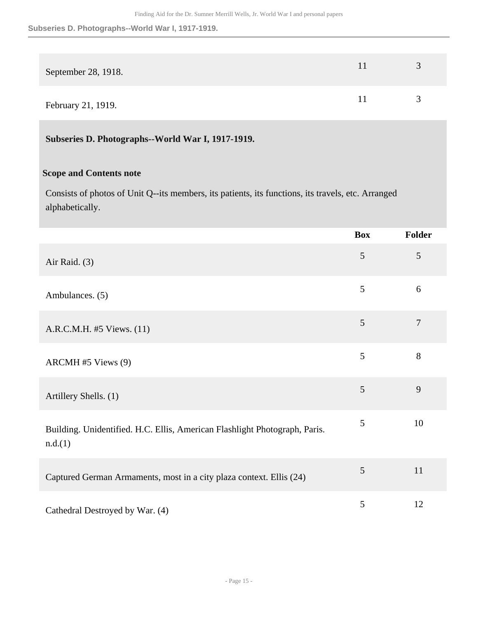**Subseries D. Photographs--World War I, 1917-1919.**

| September 28, 1918. | $\rightarrow$ |
|---------------------|---------------|
| February 21, 1919.  | $\rightarrow$ |

**Subseries D. Photographs--World War I, 1917-1919.** 

#### **Scope and Contents note**

Consists of photos of Unit Q--its members, its patients, its functions, its travels, etc. Arranged alphabetically.

|                                                                                       | <b>Box</b> | Folder |
|---------------------------------------------------------------------------------------|------------|--------|
| Air Raid. $(3)$                                                                       | 5          | 5      |
| Ambulances. (5)                                                                       | 5          | 6      |
| A.R.C.M.H. #5 Views. (11)                                                             | 5          | $\tau$ |
| ARCMH#5 Views (9)                                                                     | 5          | $8\,$  |
| Artillery Shells. (1)                                                                 | 5          | 9      |
| Building. Unidentified. H.C. Ellis, American Flashlight Photograph, Paris.<br>n.d.(1) | 5          | 10     |
| Captured German Armaments, most in a city plaza context. Ellis (24)                   | 5          | 11     |
| Cathedral Destroyed by War. (4)                                                       | 5          | 12     |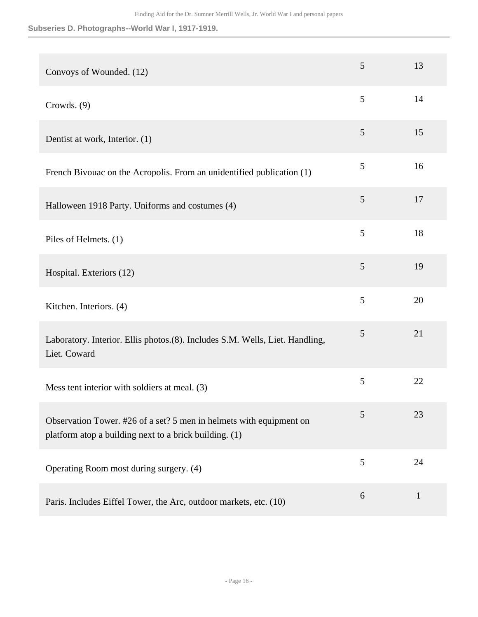**Subseries D. Photographs--World War I, 1917-1919.**

| Convoys of Wounded. (12)                                                                                                      | 5              | 13           |
|-------------------------------------------------------------------------------------------------------------------------------|----------------|--------------|
| Crowds. (9)                                                                                                                   | 5              | 14           |
| Dentist at work, Interior. (1)                                                                                                | $\mathfrak{S}$ | 15           |
| French Bivouac on the Acropolis. From an unidentified publication (1)                                                         | 5              | 16           |
| Halloween 1918 Party. Uniforms and costumes (4)                                                                               | 5              | 17           |
| Piles of Helmets. (1)                                                                                                         | 5              | 18           |
| Hospital. Exteriors (12)                                                                                                      | 5              | 19           |
| Kitchen. Interiors. (4)                                                                                                       | 5              | 20           |
| Laboratory. Interior. Ellis photos.(8). Includes S.M. Wells, Liet. Handling,<br>Liet. Coward                                  | $\mathfrak{S}$ | 21           |
| Mess tent interior with soldiers at meal. (3)                                                                                 | 5              | 22           |
| Observation Tower. #26 of a set? 5 men in helmets with equipment on<br>platform atop a building next to a brick building. (1) | 5              | 23           |
| Operating Room most during surgery. (4)                                                                                       | 5              | 24           |
| Paris. Includes Eiffel Tower, the Arc, outdoor markets, etc. (10)                                                             | 6              | $\mathbf{1}$ |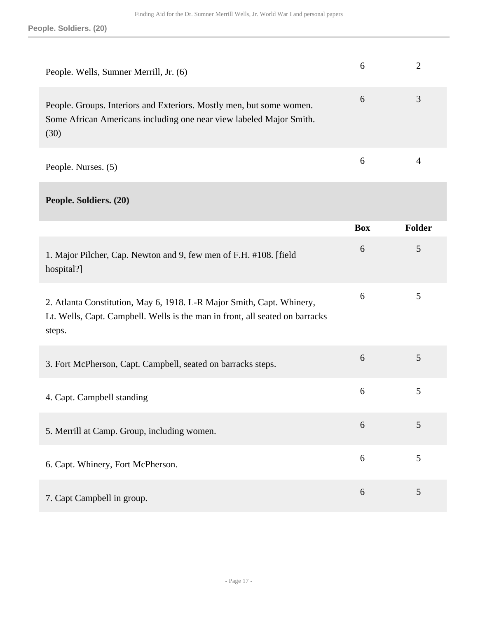| People. Wells, Sumner Merrill, Jr. (6)                                                                                                                          | 6          | $\overline{2}$ |
|-----------------------------------------------------------------------------------------------------------------------------------------------------------------|------------|----------------|
| People. Groups. Interiors and Exteriors. Mostly men, but some women.<br>Some African Americans including one near view labeled Major Smith.<br>(30)             | 6          | 3              |
| People. Nurses. (5)                                                                                                                                             | 6          | 4              |
| People. Soldiers. (20)                                                                                                                                          |            |                |
|                                                                                                                                                                 | <b>Box</b> | <b>Folder</b>  |
| 1. Major Pilcher, Cap. Newton and 9, few men of F.H. #108. [field<br>hospital?]                                                                                 | 6          | 5              |
| 2. Atlanta Constitution, May 6, 1918. L-R Major Smith, Capt. Whinery,<br>Lt. Wells, Capt. Campbell. Wells is the man in front, all seated on barracks<br>steps. | 6          | 5              |
| 3. Fort McPherson, Capt. Campbell, seated on barracks steps.                                                                                                    | 6          | 5              |
| 4. Capt. Campbell standing                                                                                                                                      | 6          | 5              |
| 5. Merrill at Camp. Group, including women.                                                                                                                     | 6          | 5              |
| 6. Capt. Whinery, Fort McPherson.                                                                                                                               | 6          | 5              |
| 7. Capt Campbell in group.                                                                                                                                      | 6          | 5              |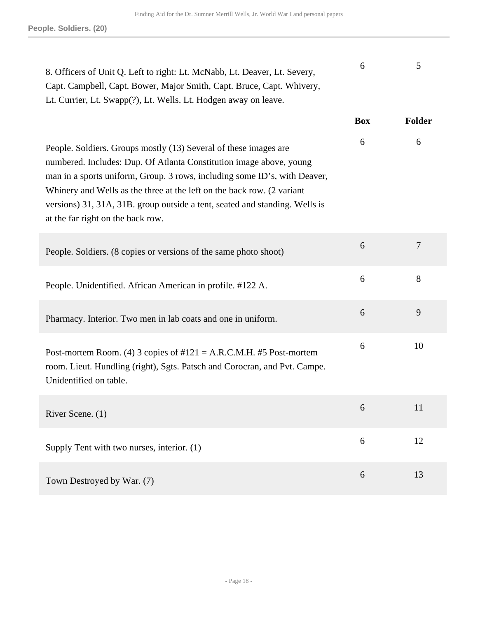| 8. Officers of Unit Q. Left to right: Lt. McNabb, Lt. Deaver, Lt. Severy,<br>Capt. Campbell, Capt. Bower, Major Smith, Capt. Bruce, Capt. Whivery,<br>Lt. Currier, Lt. Swapp(?), Lt. Wells. Lt. Hodgen away on leave.                                                                                                                                                                                              | 6          | 5              |
|--------------------------------------------------------------------------------------------------------------------------------------------------------------------------------------------------------------------------------------------------------------------------------------------------------------------------------------------------------------------------------------------------------------------|------------|----------------|
|                                                                                                                                                                                                                                                                                                                                                                                                                    | <b>Box</b> | <b>Folder</b>  |
| People. Soldiers. Groups mostly (13) Several of these images are<br>numbered. Includes: Dup. Of Atlanta Constitution image above, young<br>man in a sports uniform, Group. 3 rows, including some ID's, with Deaver,<br>Whinery and Wells as the three at the left on the back row. (2 variant<br>versions) 31, 31A, 31B. group outside a tent, seated and standing. Wells is<br>at the far right on the back row. | 6          | 6              |
| People. Soldiers. (8 copies or versions of the same photo shoot)                                                                                                                                                                                                                                                                                                                                                   | 6          | $\overline{7}$ |
| People. Unidentified. African American in profile. #122 A.                                                                                                                                                                                                                                                                                                                                                         | 6          | 8              |
| Pharmacy. Interior. Two men in lab coats and one in uniform.                                                                                                                                                                                                                                                                                                                                                       | 6          | 9              |
| Post-mortem Room. (4) 3 copies of $\#121 = A.R.C.M.H. \#5$ Post-mortem<br>room. Lieut. Hundling (right), Sgts. Patsch and Corocran, and Pvt. Campe.<br>Unidentified on table.                                                                                                                                                                                                                                      | 6          | 10             |
| River Scene. (1)                                                                                                                                                                                                                                                                                                                                                                                                   | 6          | 11             |
| Supply Tent with two nurses, interior. (1)                                                                                                                                                                                                                                                                                                                                                                         | 6          | 12             |
| Town Destroyed by War. (7)                                                                                                                                                                                                                                                                                                                                                                                         | 6          | 13             |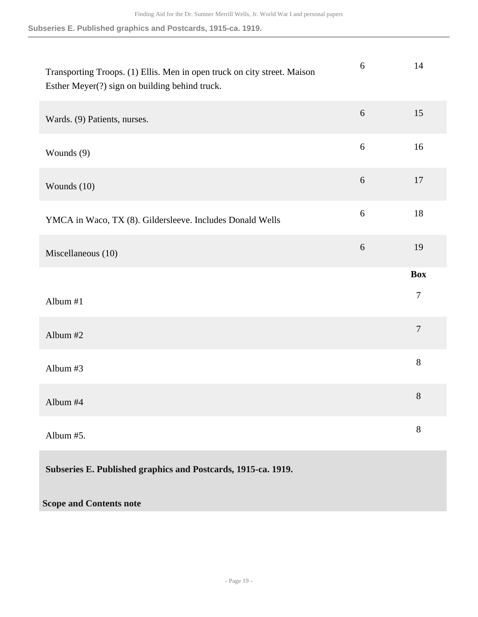#### **Subseries E. Published graphics and Postcards, 1915-ca. 1919.**

| Transporting Troops. (1) Ellis. Men in open truck on city street. Maison<br>Esther Meyer(?) sign on building behind truck. | $6\,$ | 14               |
|----------------------------------------------------------------------------------------------------------------------------|-------|------------------|
| Wards. (9) Patients, nurses.                                                                                               | 6     | 15               |
| Wounds (9)                                                                                                                 | $6\,$ | 16               |
| Wounds (10)                                                                                                                | $6\,$ | 17               |
| YMCA in Waco, TX (8). Gildersleeve. Includes Donald Wells                                                                  | $6\,$ | 18               |
| Miscellaneous (10)                                                                                                         | $6\,$ | 19               |
|                                                                                                                            |       | <b>Box</b>       |
| Album #1                                                                                                                   |       | $\tau$           |
| Album #2                                                                                                                   |       | $\boldsymbol{7}$ |
| Album #3                                                                                                                   |       | $8\,$            |
| Album #4                                                                                                                   |       | $8\,$            |
| Album #5.                                                                                                                  |       | 8                |
| Subseries E. Published graphics and Postcards, 1915-ca. 1919.                                                              |       |                  |

### **Scope and Contents note**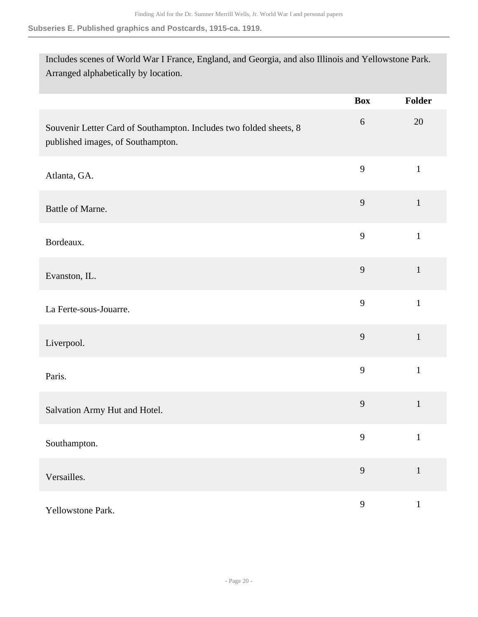#### **Subseries E. Published graphics and Postcards, 1915-ca. 1919.**

Includes scenes of World War I France, England, and Georgia, and also Illinois and Yellowstone Park. Arranged alphabetically by location.

|                                                                                                         | <b>Box</b>       | Folder       |
|---------------------------------------------------------------------------------------------------------|------------------|--------------|
| Souvenir Letter Card of Southampton. Includes two folded sheets, 8<br>published images, of Southampton. | $\boldsymbol{6}$ | 20           |
| Atlanta, GA.                                                                                            | 9                | $\mathbf{1}$ |
| Battle of Marne.                                                                                        | 9                | $\mathbf{1}$ |
| Bordeaux.                                                                                               | 9                | $\mathbf{1}$ |
| Evanston, IL.                                                                                           | 9                | $\mathbf{1}$ |
| La Ferte-sous-Jouarre.                                                                                  | 9                | $\mathbf{1}$ |
| Liverpool.                                                                                              | 9                | $\mathbf{1}$ |
| Paris.                                                                                                  | 9                | $\mathbf{1}$ |
| Salvation Army Hut and Hotel.                                                                           | 9                | $\mathbf{1}$ |
| Southampton.                                                                                            | 9                | $\mathbf{1}$ |
| Versailles.                                                                                             | 9                | $\mathbf{1}$ |
| Yellowstone Park.                                                                                       | $\mathbf{9}$     | $\mathbf{1}$ |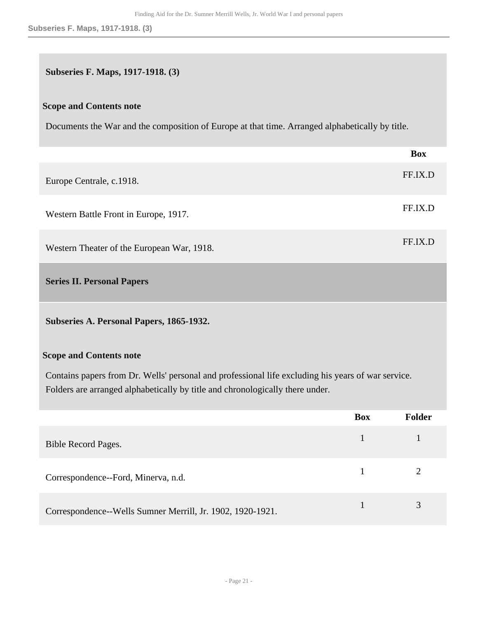#### **Subseries F. Maps, 1917-1918. (3)**

#### **Scope and Contents note**

Documents the War and the composition of Europe at that time. Arranged alphabetically by title.

|                                            | <b>Box</b> |
|--------------------------------------------|------------|
| Europe Centrale, c.1918.                   | FF.IX.D    |
| Western Battle Front in Europe, 1917.      | FF.IX.D    |
| Western Theater of the European War, 1918. | FF.IX.D    |
| <b>Series II. Personal Papers</b>          |            |
|                                            |            |

<span id="page-20-0"></span>**Subseries A. Personal Papers, 1865-1932.** 

#### **Scope and Contents note**

Contains papers from Dr. Wells' personal and professional life excluding his years of war service. Folders are arranged alphabetically by title and chronologically there under.

|                                                            | <b>Box</b> | Folder |
|------------------------------------------------------------|------------|--------|
| Bible Record Pages.                                        |            |        |
| Correspondence--Ford, Minerva, n.d.                        |            |        |
| Correspondence--Wells Sumner Merrill, Jr. 1902, 1920-1921. |            | 3      |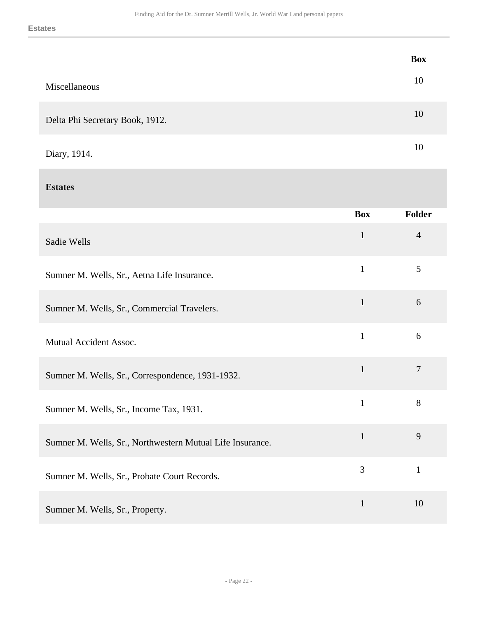|                                 | <b>Box</b> |
|---------------------------------|------------|
| Miscellaneous                   | 10         |
| Delta Phi Secretary Book, 1912. | 10         |
| Diary, 1914.                    | 10         |

#### **Estates**

|                                                           | <b>Box</b>   | Folder         |
|-----------------------------------------------------------|--------------|----------------|
| Sadie Wells                                               | $\mathbf{1}$ | $\overline{4}$ |
| Sumner M. Wells, Sr., Aetna Life Insurance.               | $\mathbf{1}$ | 5              |
| Sumner M. Wells, Sr., Commercial Travelers.               | $\mathbf{1}$ | 6              |
| Mutual Accident Assoc.                                    | $\mathbf{1}$ | 6              |
| Sumner M. Wells, Sr., Correspondence, 1931-1932.          | $\mathbf{1}$ | $\overline{7}$ |
| Sumner M. Wells, Sr., Income Tax, 1931.                   | $\mathbf{1}$ | 8              |
| Sumner M. Wells, Sr., Northwestern Mutual Life Insurance. | $\mathbf{1}$ | 9              |
| Sumner M. Wells, Sr., Probate Court Records.              | 3            | $\mathbf{1}$   |
| Sumner M. Wells, Sr., Property.                           | $\mathbf{1}$ | 10             |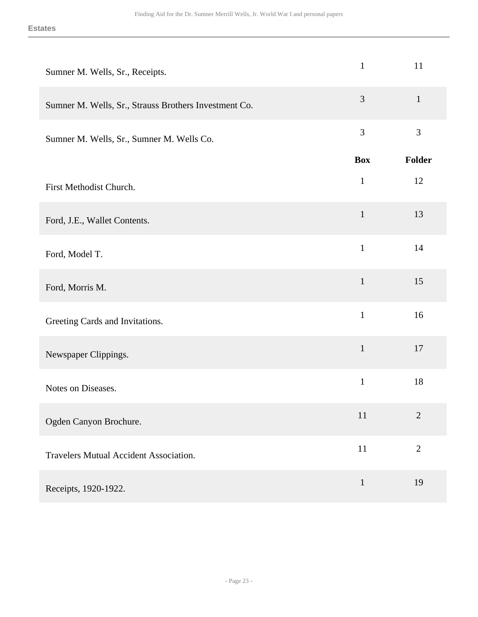| Sumner M. Wells, Sr., Receipts.                       | $\mathbf{1}$   | 11             |
|-------------------------------------------------------|----------------|----------------|
| Sumner M. Wells, Sr., Strauss Brothers Investment Co. | $\mathfrak{Z}$ | $\mathbf{1}$   |
| Sumner M. Wells, Sr., Sumner M. Wells Co.             | 3              | $\mathfrak{Z}$ |
|                                                       | <b>Box</b>     | Folder         |
| First Methodist Church.                               | $\mathbf{1}$   | 12             |
| Ford, J.E., Wallet Contents.                          | $\mathbf{1}$   | 13             |
| Ford, Model T.                                        | $\mathbf{1}$   | 14             |
| Ford, Morris M.                                       | $\mathbf{1}$   | 15             |
| Greeting Cards and Invitations.                       | $\mathbf{1}$   | 16             |
| Newspaper Clippings.                                  | $\mathbf{1}$   | 17             |
| Notes on Diseases.                                    | $\mathbf{1}$   | 18             |
| Ogden Canyon Brochure.                                | 11             | $\sqrt{2}$     |
| <b>Travelers Mutual Accident Association.</b>         | $11\,$         | $\mathbf{2}$   |
| Receipts, 1920-1922.                                  | $\mathbf{1}$   | 19             |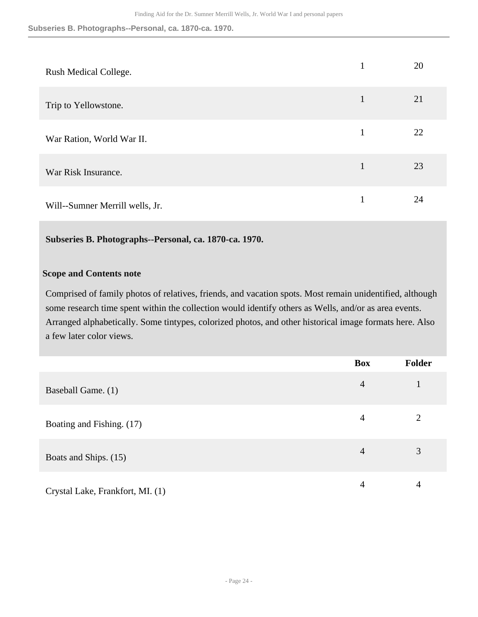**Subseries B. Photographs--Personal, ca. 1870-ca. 1970.**

| Rush Medical College.           | 1 | 20 |
|---------------------------------|---|----|
| Trip to Yellowstone.            | 1 | 21 |
| War Ration, World War II.       | 1 | 22 |
| War Risk Insurance.             | 1 | 23 |
| Will--Sumner Merrill wells, Jr. |   | 24 |

#### **Subseries B. Photographs--Personal, ca. 1870-ca. 1970.**

#### **Scope and Contents note**

Comprised of family photos of relatives, friends, and vacation spots. Most remain unidentified, although some research time spent within the collection would identify others as Wells, and/or as area events. Arranged alphabetically. Some tintypes, colorized photos, and other historical image formats here. Also a few later color views.

|                                  | <b>Box</b>     | <b>Folder</b> |
|----------------------------------|----------------|---------------|
| Baseball Game. (1)               | $\overline{4}$ |               |
| Boating and Fishing. (17)        | 4              |               |
| Boats and Ships. (15)            | $\overline{4}$ | 3             |
| Crystal Lake, Frankfort, MI. (1) | 4              | 4             |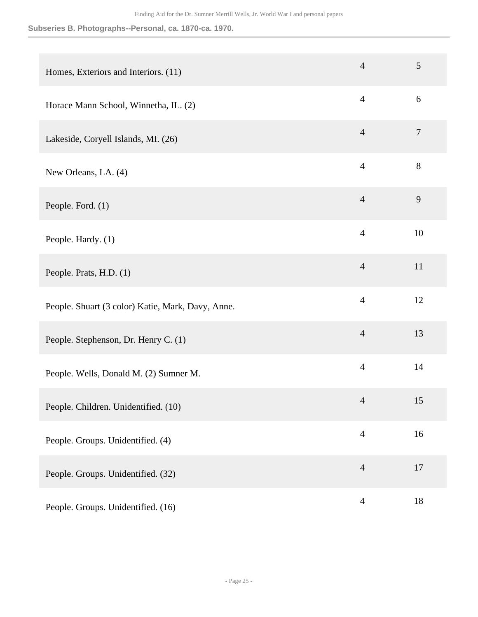#### **Subseries B. Photographs--Personal, ca. 1870-ca. 1970.**

| Homes, Exteriors and Interiors. (11)              | $\overline{4}$ | 5              |
|---------------------------------------------------|----------------|----------------|
| Horace Mann School, Winnetha, IL. (2)             | $\overline{4}$ | 6              |
| Lakeside, Coryell Islands, MI. (26)               | $\overline{4}$ | $\overline{7}$ |
| New Orleans, LA. (4)                              | $\overline{4}$ | 8              |
| People. Ford. (1)                                 | $\overline{4}$ | 9              |
| People. Hardy. (1)                                | $\overline{4}$ | 10             |
| People. Prats, H.D. (1)                           | $\overline{4}$ | 11             |
| People. Shuart (3 color) Katie, Mark, Davy, Anne. | $\overline{4}$ | 12             |
| People. Stephenson, Dr. Henry C. (1)              | $\overline{4}$ | 13             |
| People. Wells, Donald M. (2) Sumner M.            | $\overline{4}$ | 14             |
| People. Children. Unidentified. (10)              | $\overline{4}$ | 15             |
| People. Groups. Unidentified. (4)                 | $\overline{4}$ | 16             |
| People. Groups. Unidentified. (32)                | $\overline{4}$ | 17             |
| People. Groups. Unidentified. (16)                | $\overline{4}$ | $18\,$         |